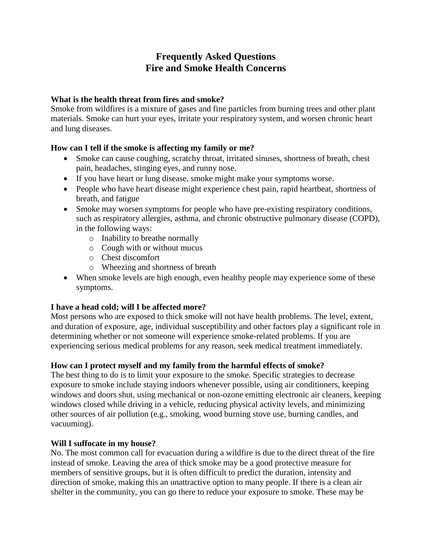# **Frequently Asked Questions Fire and Smoke Health Concerns**

### **What is the health threat from fires and smoke?**

Smoke from wildfires is a mixture of gases and fine particles from burning trees and other plant materials. Smoke can hurt your eyes, irritate your respiratory system, and worsen chronic heart and lung diseases.

## **How can I tell if the smoke is affecting my family or me?**

- Smoke can cause coughing, scratchy throat, irritated sinuses, shortness of breath, chest pain, headaches, stinging eyes, and runny nose.
- If you have heart or lung disease, smoke might make your symptoms worse.
- People who have heart disease might experience chest pain, rapid heartbeat, shortness of breath, and fatigue
- Smoke may worsen symptoms for people who have pre-existing respiratory conditions, such as respiratory allergies, asthma, and chronic obstructive pulmonary disease (COPD), in the following ways:
	- o Inability to breathe normally
	- o Cough with or without mucus
	- o Chest discomfort
	- o Wheezing and shortness of breath
- When smoke levels are high enough, even healthy people may experience some of these symptoms.

## **I have a head cold; will I be affected more?**

Most persons who are exposed to thick smoke will not have health problems. The level, extent, and duration of exposure, age, individual susceptibility and other factors play a significant role in determining whether or not someone will experience smoke-related problems. If you are experiencing serious medical problems for any reason, seek medical treatment immediately.

## **How can I protect myself and my family from the harmful effects of smoke?**

The best thing to do is to limit your exposure to the smoke. Specific strategies to decrease exposure to smoke include staying indoors whenever possible, using air conditioners, keeping windows and doors shut, using mechanical or non-ozone emitting electronic air cleaners, keeping windows closed while driving in a vehicle, reducing physical activity levels, and minimizing other sources of air pollution (e.g., smoking, wood burning stove use, burning candles, and vacuuming).

#### **Will I suffocate in my house?**

No. The most common call for evacuation during a wildfire is due to the direct threat of the fire instead of smoke. Leaving the area of thick smoke may be a good protective measure for members of sensitive groups, but it is often difficult to predict the duration, intensity and direction of smoke, making this an unattractive option to many people. If there is a clean air shelter in the community, you can go there to reduce your exposure to smoke. These may be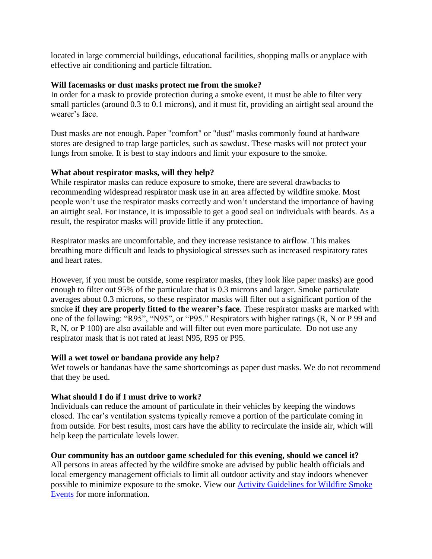located in large commercial buildings, educational facilities, shopping malls or anyplace with effective air conditioning and particle filtration.

#### **Will facemasks or dust masks protect me from the smoke?**

In order for a mask to provide protection during a smoke event, it must be able to filter very small particles (around 0.3 to 0.1 microns), and it must fit, providing an airtight seal around the wearer's face

Dust masks are not enough. Paper "comfort" or "dust" masks commonly found at hardware stores are designed to trap large particles, such as sawdust. These masks will not protect your lungs from smoke. It is best to stay indoors and limit your exposure to the smoke.

#### **What about respirator masks, will they help?**

While respirator masks can reduce exposure to smoke, there are several drawbacks to recommending widespread respirator mask use in an area affected by wildfire smoke. Most people won't use the respirator masks correctly and won't understand the importance of having an airtight seal. For instance, it is impossible to get a good seal on individuals with beards. As a result, the respirator masks will provide little if any protection.

Respirator masks are uncomfortable, and they increase resistance to airflow. This makes breathing more difficult and leads to physiological stresses such as increased respiratory rates and heart rates.

However, if you must be outside, some respirator masks, (they look like paper masks) are good enough to filter out 95% of the particulate that is 0.3 microns and larger. Smoke particulate averages about 0.3 microns, so these respirator masks will filter out a significant portion of the smoke **if they are properly fitted to the wearer's face**. These respirator masks are marked with one of the following: "R95", "N95", or "P95." Respirators with higher ratings (R, N or P 99 and R, N, or P 100) are also available and will filter out even more particulate. Do not use any respirator mask that is not rated at least N95, R95 or P95.

#### **Will a wet towel or bandana provide any help?**

Wet towels or bandanas have the same shortcomings as paper dust masks. We do not recommend that they be used.

#### **What should I do if I must drive to work?**

Individuals can reduce the amount of particulate in their vehicles by keeping the windows closed. The car's ventilation systems typically remove a portion of the particulate coming in from outside. For best results, most cars have the ability to recirculate the inside air, which will help keep the particulate levels lower.

#### **Our community has an outdoor game scheduled for this evening, should we cancel it?**

All persons in areas affected by the wildfire smoke are advised by public health officials and local emergency management officials to limit all outdoor activity and stay indoors whenever possible to minimize exposure to the smoke. View our [Activity Guidelines for Wildfire Smoke](http://healthandwelfare.idaho.gov/Portals/0/Health/EnvironmentalHealth/Wildfire-table-for-schools%20mkedits.pdf)  [Events](http://healthandwelfare.idaho.gov/Portals/0/Health/EnvironmentalHealth/Wildfire-table-for-schools%20mkedits.pdf) for more information.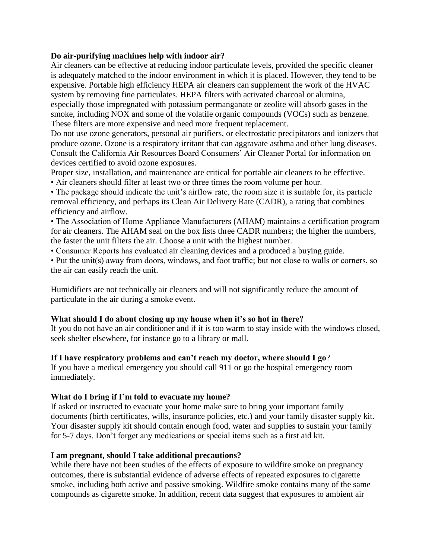#### **Do air-purifying machines help with indoor air?**

Air cleaners can be effective at reducing indoor particulate levels, provided the specific cleaner is adequately matched to the indoor environment in which it is placed. However, they tend to be expensive. Portable high efficiency HEPA air cleaners can supplement the work of the HVAC system by removing fine particulates. HEPA filters with activated charcoal or alumina, especially those impregnated with potassium permanganate or zeolite will absorb gases in the smoke, including NOX and some of the volatile organic compounds (VOCs) such as benzene. These filters are more expensive and need more frequent replacement.

Do not use ozone generators, personal air purifiers, or electrostatic precipitators and ionizers that produce ozone. Ozone is a respiratory irritant that can aggravate asthma and other lung diseases. Consult the California Air Resources Board Consumers' Air Cleaner Portal for information on devices certified to avoid ozone exposures.

Proper size, installation, and maintenance are critical for portable air cleaners to be effective. • Air cleaners should filter at least two or three times the room volume per hour.

• The package should indicate the unit's airflow rate, the room size it is suitable for, its particle removal efficiency, and perhaps its Clean Air Delivery Rate (CADR), a rating that combines efficiency and airflow.

• The Association of Home Appliance Manufacturers (AHAM) maintains a certification program for air cleaners. The AHAM seal on the box lists three CADR numbers; the higher the numbers, the faster the unit filters the air. Choose a unit with the highest number.

• Consumer Reports has evaluated air cleaning devices and a produced a buying guide.

• Put the unit(s) away from doors, windows, and foot traffic; but not close to walls or corners, so the air can easily reach the unit.

Humidifiers are not technically air cleaners and will not significantly reduce the amount of particulate in the air during a smoke event.

#### **What should I do about closing up my house when it's so hot in there?**

If you do not have an air conditioner and if it is too warm to stay inside with the windows closed, seek shelter elsewhere, for instance go to a library or mall.

## **If I have respiratory problems and can't reach my doctor, where should I go**?

If you have a medical emergency you should call 911 or go the hospital emergency room immediately.

#### **What do I bring if I'm told to evacuate my home?**

If asked or instructed to evacuate your home make sure to bring your important family documents (birth certificates, wills, insurance policies, etc.) and your family disaster supply kit. Your disaster supply kit should contain enough food, water and supplies to sustain your family for 5-7 days. Don't forget any medications or special items such as a first aid kit.

#### **I am pregnant, should I take additional precautions?**

While there have not been studies of the effects of exposure to wildfire smoke on pregnancy outcomes, there is substantial evidence of adverse effects of repeated exposures to cigarette smoke, including both active and passive smoking. Wildfire smoke contains many of the same compounds as cigarette smoke. In addition, recent data suggest that exposures to ambient air